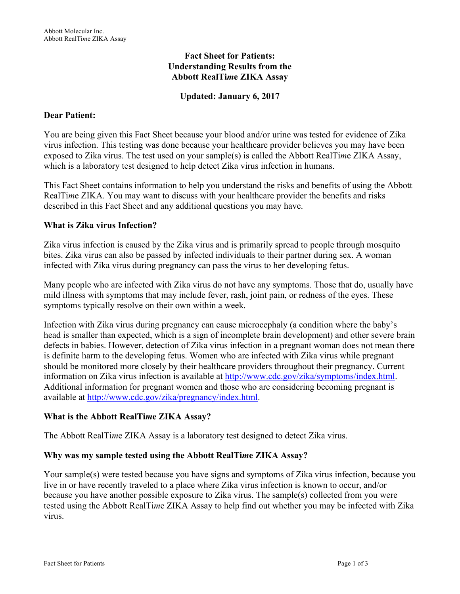# **Fact Sheet for Patients: Understanding Results from the Abbott RealTi***m***e ZIKA Assay**

# **Updated: January 6, 2017**

### **Dear Patient:**

You are being given this Fact Sheet because your blood and/or urine was tested for evidence of Zika virus infection. This testing was done because your healthcare provider believes you may have been exposed to Zika virus. The test used on your sample(s) is called the Abbott RealTi*m*e ZIKA Assay, which is a laboratory test designed to help detect Zika virus infection in humans.

This Fact Sheet contains information to help you understand the risks and benefits of using the Abbott RealTi*m*e ZIKA. You may want to discuss with your healthcare provider the benefits and risks described in this Fact Sheet and any additional questions you may have.

### **What is Zika virus Infection?**

Zika virus infection is caused by the Zika virus and is primarily spread to people through mosquito bites. Zika virus can also be passed by infected individuals to their partner during sex. A woman infected with Zika virus during pregnancy can pass the virus to her developing fetus.

Many people who are infected with Zika virus do not have any symptoms. Those that do, usually have mild illness with symptoms that may include fever, rash, joint pain, or redness of the eyes. These symptoms typically resolve on their own within a week.

Infection with Zika virus during pregnancy can cause microcephaly (a condition where the baby's head is smaller than expected, which is a sign of incomplete brain development) and other severe brain defects in babies. However, detection of Zika virus infection in a pregnant woman does not mean there is definite harm to the developing fetus. Women who are infected with Zika virus while pregnant should be monitored more closely by their healthcare providers throughout their pregnancy. Current information on Zika virus infection is available at http://www.cdc.gov/zika/symptoms/index.html. Additional information for pregnant women and those who are considering becoming pregnant is available at http://www.cdc.gov/zika/pregnancy/index.html.

#### **What is the Abbott RealTi***m***e ZIKA Assay?**

The Abbott RealTi*m*e ZIKA Assay is a laboratory test designed to detect Zika virus.

## **Why was my sample tested using the Abbott RealTi***m***e ZIKA Assay?**

Your sample(s) were tested because you have signs and symptoms of Zika virus infection, because you live in or have recently traveled to a place where Zika virus infection is known to occur, and/or because you have another possible exposure to Zika virus. The sample(s) collected from you were tested using the Abbott RealTi*m*e ZIKA Assay to help find out whether you may be infected with Zika virus.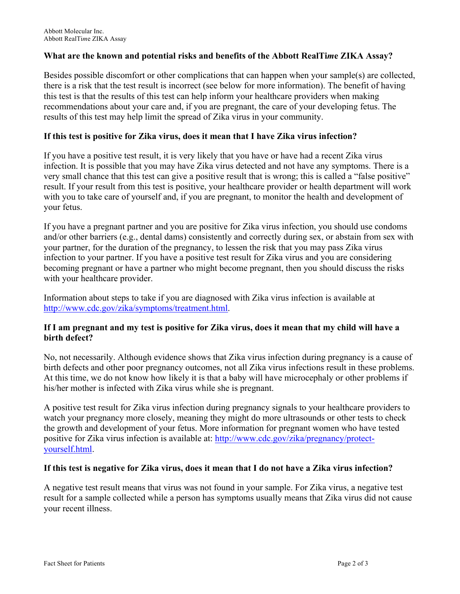### **What are the known and potential risks and benefits of the Abbott RealTi***m***e ZIKA Assay?**

Besides possible discomfort or other complications that can happen when your sample(s) are collected, there is a risk that the test result is incorrect (see below for more information). The benefit of having this test is that the results of this test can help inform your healthcare providers when making recommendations about your care and, if you are pregnant, the care of your developing fetus. The results of this test may help limit the spread of Zika virus in your community.

#### **If this test is positive for Zika virus, does it mean that I have Zika virus infection?**

If you have a positive test result, it is very likely that you have or have had a recent Zika virus infection. It is possible that you may have Zika virus detected and not have any symptoms. There is a very small chance that this test can give a positive result that is wrong; this is called a "false positive" result. If your result from this test is positive, your healthcare provider or health department will work with you to take care of yourself and, if you are pregnant, to monitor the health and development of your fetus.

If you have a pregnant partner and you are positive for Zika virus infection, you should use condoms and/or other barriers (e.g., dental dams) consistently and correctly during sex, or abstain from sex with your partner, for the duration of the pregnancy, to lessen the risk that you may pass Zika virus infection to your partner. If you have a positive test result for Zika virus and you are considering becoming pregnant or have a partner who might become pregnant, then you should discuss the risks with your healthcare provider.

Information about steps to take if you are diagnosed with Zika virus infection is available at http://www.cdc.gov/zika/symptoms/treatment.html.

### **If I am pregnant and my test is positive for Zika virus, does it mean that my child will have a birth defect?**

No, not necessarily. Although evidence shows that Zika virus infection during pregnancy is a cause of birth defects and other poor pregnancy outcomes, not all Zika virus infections result in these problems. At this time, we do not know how likely it is that a baby will have microcephaly or other problems if his/her mother is infected with Zika virus while she is pregnant.

A positive test result for Zika virus infection during pregnancy signals to your healthcare providers to watch your pregnancy more closely, meaning they might do more ultrasounds or other tests to check the growth and development of your fetus. More information for pregnant women who have tested positive for Zika virus infection is available at: http://www.cdc.gov/zika/pregnancy/protectyourself.html.

#### **If this test is negative for Zika virus, does it mean that I do not have a Zika virus infection?**

A negative test result means that virus was not found in your sample. For Zika virus, a negative test result for a sample collected while a person has symptoms usually means that Zika virus did not cause your recent illness.